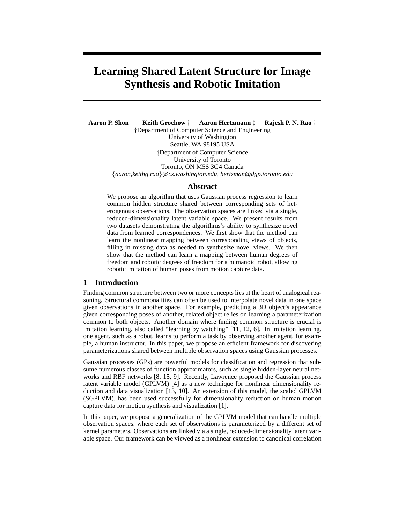# **Learning Shared Latent Structure for Image Synthesis and Robotic Imitation**

**Aaron P. Shon** † **Keith Grochow** † **Aaron Hertzmann** ‡ **Rajesh P. N. Rao** † †Department of Computer Science and Engineering University of Washington Seattle, WA 98195 USA ‡Department of Computer Science University of Toronto Toronto, ON M5S 3G4 Canada {*aaron,keithg,rao*}*@cs.washington.edu, hertzman@dgp.toronto.edu*

#### **Abstract**

We propose an algorithm that uses Gaussian process regression to learn common hidden structure shared between corresponding sets of heterogenous observations. The observation spaces are linked via a single, reduced-dimensionality latent variable space. We present results from two datasets demonstrating the algorithms's ability to synthesize novel data from learned correspondences. We first show that the method can learn the nonlinear mapping between corresponding views of objects, filling in missing data as needed to synthesize novel views. We then show that the method can learn a mapping between human degrees of freedom and robotic degrees of freedom for a humanoid robot, allowing robotic imitation of human poses from motion capture data.

## **1 Introduction**

Finding common structure between two or more concepts lies at the heart of analogical reasoning. Structural commonalities can often be used to interpolate novel data in one space given observations in another space. For example, predicting a 3D object's appearance given corresponding poses of another, related object relies on learning a parameterization common to both objects. Another domain where finding common structure is crucial is imitation learning, also called "learning by watching" [11, 12, 6]. In imitation learning, one agent, such as a robot, learns to perform a task by observing another agent, for example, a human instructor. In this paper, we propose an efficient framework for discovering parameterizations shared between multiple observation spaces using Gaussian processes.

Gaussian processes (GPs) are powerful models for classification and regression that subsume numerous classes of function approximators, such as single hidden-layer neural networks and RBF networks [8, 15, 9]. Recently, Lawrence proposed the Gaussian process latent variable model (GPLVM) [4] as a new technique for nonlinear dimensionality reduction and data visualization [13, 10]. An extension of this model, the scaled GPLVM (SGPLVM), has been used successfully for dimensionality reduction on human motion capture data for motion synthesis and visualization [1].

In this paper, we propose a generalization of the GPLVM model that can handle multiple observation spaces, where each set of observations is parameterized by a different set of kernel parameters. Observations are linked via a single, reduced-dimensionality latent variable space. Our framework can be viewed as a nonlinear extension to canonical correlation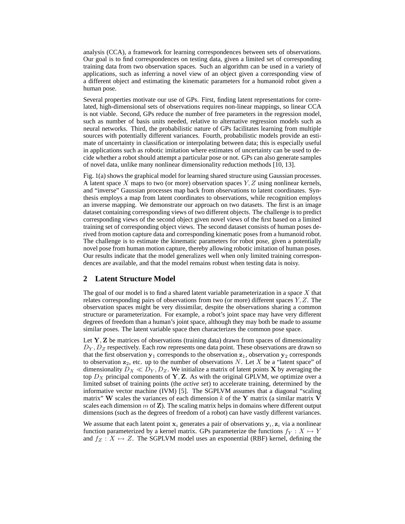analysis (CCA), a framework for learning correspondences between sets of observations. Our goal is to find correspondences on testing data, given a limited set of corresponding training data from two observation spaces. Such an algorithm can be used in a variety of applications, such as inferring a novel view of an object given a corresponding view of a different object and estimating the kinematic parameters for a humanoid robot given a human pose.

Several properties motivate our use of GPs. First, finding latent representations for correlated, high-dimensional sets of observations requires non-linear mappings, so linear CCA is not viable. Second, GPs reduce the number of free parameters in the regression model, such as number of basis units needed, relative to alternative regression models such as neural networks. Third, the probabilistic nature of GPs facilitates learning from multiple sources with potentially different variances. Fourth, probabilistic models provide an estimate of uncertainty in classification or interpolating between data; this is especially useful in applications such as robotic imitation where estimates of uncertainty can be used to decide whether a robot should attempt a particular pose or not. GPs can also generate samples of novel data, unlike many nonlinear dimensionality reduction methods [10, 13].

Fig. 1(a) shows the graphical model for learning shared structure using Gaussian processes. A latent space X maps to two (or more) observation spaces  $Y, Z$  using nonlinear kernels, and "inverse" Gaussian processes map back from observations to latent coordinates. Synthesis employs a map from latent coordinates to observations, while recognition employs an inverse mapping. We demonstrate our approach on two datasets. The first is an image dataset containing corresponding views of two different objects. The challenge is to predict corresponding views of the second object given novel views of the first based on a limited training set of corresponding object views. The second dataset consists of human poses derived from motion capture data and corresponding kinematic poses from a humanoid robot. The challenge is to estimate the kinematic parameters for robot pose, given a potentially novel pose from human motion capture, thereby allowing robotic imitation of human poses. Our results indicate that the model generalizes well when only limited training correspondences are available, and that the model remains robust when testing data is noisy.

### **2 Latent Structure Model**

The goal of our model is to find a shared latent variable parameterization in a space  $X$  that relates corresponding pairs of observations from two (or more) different spaces Y, Z. The observation spaces might be very dissimilar, despite the observations sharing a common structure or parameterization. For example, a robot's joint space may have very different degrees of freedom than a human's joint space, although they may both be made to assume similar poses. The latent variable space then characterizes the common pose space.

Let  $Y, Z$  be matrices of observations (training data) drawn from spaces of dimensionality  $D<sub>Y</sub>, D<sub>Z</sub>$  respectively. Each row represents one data point. These observations are drawn so that the first observation  $y_1$  corresponds to the observation  $z_1$ , observation  $y_2$  corresponds to observation  $z_2$ , etc. up to the number of observations N. Let X be a "latent space" of dimensionality  $D_X \ll D_Y, D_Z$ . We initialize a matrix of latent points **X** by averaging the top  $D_X$  principal components of Y, Z. As with the original GPLVM, we optimize over a limited subset of training points (the *active set*) to accelerate training, determined by the informative vector machine (IVM) [5]. The SGPLVM assumes that a diagonal "scaling matrix" W scales the variances of each dimension  $k$  of the Y matrix (a similar matrix V scales each dimension  $m$  of  $\mathbf{Z}$ ). The scaling matrix helps in domains where different output dimensions (such as the degrees of freedom of a robot) can have vastly different variances.

We assume that each latent point  $x_i$  generates a pair of observations  $y_i, z_i$  via a nonlinear function parameterized by a kernel matrix. GPs parameterize the functions  $f_Y : X \mapsto Y$ and  $f_Z : X \mapsto Z$ . The SGPLVM model uses an exponential (RBF) kernel, defining the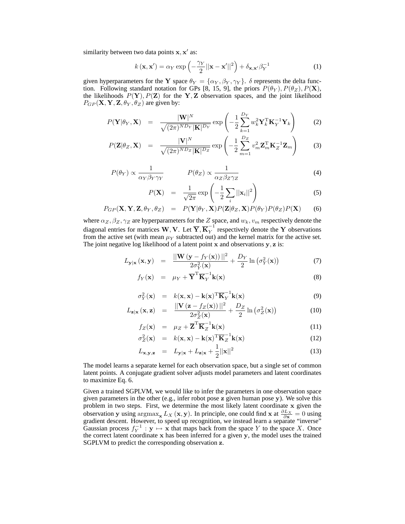similarity between two data points  $x, x'$  as:

$$
k(\mathbf{x}, \mathbf{x}') = \alpha_Y \exp\left(-\frac{\gamma_Y}{2}||\mathbf{x} - \mathbf{x}'||^2\right) + \delta_{\mathbf{x}, \mathbf{x}'} \beta_Y^{-1}
$$
(1)

given hyperparameters for the Y space  $\theta_Y = {\alpha_Y, \beta_Y, \gamma_Y}$ .  $\delta$  represents the delta function. Following standard notation for GPs [8, 15, 9], the priors  $P(\theta_Y)$ ,  $P(\theta_Z)$ ,  $P(\mathbf{X})$ , the likelihoods  $P(Y)$ ,  $P(Z)$  for the Y, Z observation spaces, and the joint likelihood  $P_{GP}(\mathbf{X}, \mathbf{Y}, \mathbf{Z}, \theta_Y, \theta_Z)$  are given by:

$$
P(\mathbf{Y}|\theta_Y, \mathbf{X}) = \frac{|\mathbf{W}|^N}{\sqrt{(2\pi)^{ND_Y}|\mathbf{K}|^{D_Y}}} \exp\left(-\frac{1}{2}\sum_{k=1}^{D_Y} w_k^2 \mathbf{Y}_k^{\mathrm{T}} \mathbf{K}_Y^{-1} \mathbf{Y}_k\right) \tag{2}
$$

$$
P(\mathbf{Z}|\theta_Z, \mathbf{X}) = \frac{|\mathbf{V}|^N}{\sqrt{(2\pi)^{ND_Z}|\mathbf{K}|^{D_Z}}}\exp\left(-\frac{1}{2}\sum_{m=1}^{D_Z}v_m^2\mathbf{Z}_m^{\mathrm{T}}\mathbf{K}_Z^{-1}\mathbf{Z}_m\right)
$$
(3)

$$
P(\theta_Y) \propto \frac{1}{\alpha_Y \beta_Y \gamma_Y} \qquad P(\theta_Z) \propto \frac{1}{\alpha_Z \beta_Z \gamma_Z} \tag{4}
$$

$$
P(\mathbf{X}) = \frac{1}{\sqrt{2\pi}} \exp\left(-\frac{1}{2}\sum_{i} ||\mathbf{x}_i||^2\right) \tag{5}
$$

$$
P_{GP}(\mathbf{X}, \mathbf{Y}, \mathbf{Z}, \theta_Y, \theta_Z) = P(\mathbf{Y} | \theta_Y, \mathbf{X}) P(\mathbf{Z} | \theta_Z, \mathbf{X}) P(\theta_Y) P(\theta_Z) P(\mathbf{X})
$$
 (6)

where  $\alpha_Z, \beta_Z, \gamma_Z$  are hyperparameters for the  $Z$  space, and  $w_k, v_m$  respectively denote the diagonal entries for matrices W, V. Let  $\overline{Y}, \overline{K}_Y^{-1}$  $\overline{Y}^1$  respectively denote the Y observations from the active set (with mean  $\mu_Y$  subtracted out) and the kernel matrix for the active set. The joint negative log likelihood of a latent point  $x$  and observations  $y$ ,  $z$  is:

$$
L_{\mathbf{y}|\mathbf{x}}(\mathbf{x}, \mathbf{y}) = \frac{\|\mathbf{W}(\mathbf{y} - f_Y(\mathbf{x}))\|^2}{2\sigma_Y^2(\mathbf{x})} + \frac{D_Y}{2}\ln\left(\sigma_Y^2(\mathbf{x})\right) \tag{7}
$$

$$
f_Y(\mathbf{x}) = \mu_Y + \overline{\mathbf{Y}}^{\mathrm{T}} \overline{\mathbf{K}}_Y^{-1} \mathbf{k}(\mathbf{x}) \tag{8}
$$

$$
\sigma_Y^2(\mathbf{x}) = k(\mathbf{x}, \mathbf{x}) - \mathbf{k}(\mathbf{x})^T \overline{\mathbf{K}}_Y^{-1} \mathbf{k}(\mathbf{x})
$$
(9)

$$
L_{\mathbf{z}|\mathbf{x}}(\mathbf{x}, \mathbf{z}) = \frac{\|\mathbf{V}(\mathbf{z} - f_Z(\mathbf{x}))\|^2}{2\sigma_Z^2(\mathbf{x})} + \frac{D_Z}{2}\ln\left(\sigma_Z^2(\mathbf{x})\right)
$$
(10)

$$
f_Z(\mathbf{x}) = \mu_Z + \overline{\mathbf{Z}}^T \overline{\mathbf{K}}_Z^{-1} \mathbf{k}(\mathbf{x}) \tag{11}
$$

$$
\sigma_Z^2(\mathbf{x}) = k(\mathbf{x}, \mathbf{x}) - \mathbf{k}(\mathbf{x})^T \overline{\mathbf{K}}_Z^{-1} \mathbf{k}(\mathbf{x})
$$
(12)

$$
L_{\mathbf{x},\mathbf{y},\mathbf{z}} = L_{\mathbf{y}|\mathbf{x}} + L_{\mathbf{z}|\mathbf{x}} + \frac{1}{2}||\mathbf{x}||^2
$$
 (13)

The model learns a separate kernel for each observation space, but a single set of common latent points. A conjugate gradient solver adjusts model parameters and latent coordinates to maximize Eq. 6.

Given a trained SGPLVM, we would like to infer the parameters in one observation space given parameters in the other (e.g., infer robot pose z given human pose y). We solve this problem in two steps. First, we determine the most likely latent coordinate x given the observation y using  $\argmax_{\mathbf{x}} L_X(\mathbf{x}, \mathbf{y})$ . In principle, one could find x at  $\frac{\partial L_X}{\partial \mathbf{x}} = 0$  using gradient descent. However, to speed up recognition, we instead learn a separate "inverse" Gaussian process  $f_Y^{-1}$ :  $y \mapsto x$  that maps back from the space Y to the space X. Once the correct latent coordinate x has been inferred for a given y, the model uses the trained SGPLVM to predict the corresponding observation z.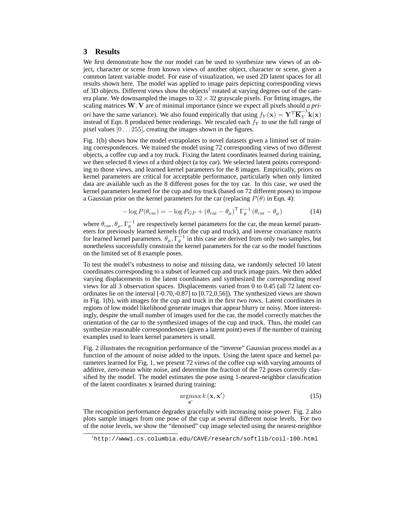## **3 Results**

We first demonstrate how the our model can be used to synthesize new views of an object, character or scene from known views of another object, character or scene, given a common latent variable model. For ease of visualization, we used 2D latent spaces for all results shown here. The model was applied to image pairs depicting corresponding views of 3D objects. Different views show the objects<sup>1</sup> rotated at varying degrees out of the camera plane. We downsampled the images to  $32 \times 32$  grayscale pixels. For fitting images, the scaling matrices W, V are of minimal importance (since we expect all pixels should *a priori* have the same variance). We also found empirically that using  $f_Y(\mathbf{x}) = \mathbf{Y}^T \overline{\mathbf{K}}_Y^{-1} \mathbf{k}(\mathbf{x})$ instead of Eqn. 8 produced better renderings. We rescaled each  $f<sub>Y</sub>$  to use the full range of pixel values  $[0 \dots 255]$ , creating the images shown in the figures.

Fig. 1(b) shows how the model extrapolates to novel datasets given a limited set of training correspondences. We trained the model using 72 corresponding views of two different objects, a coffee cup and a toy truck. Fixing the latent coordinates learned during training, we then selected 8 views of a third object (a toy car). We selected latent points corresponding to those views, and learned kernel parameters for the 8 images. Empirically, priors on kernel parameters are critical for acceptable performance, particularly when only limited data are available such as the 8 different poses for the toy car. In this case, we used the kernel parameters learned for the cup and toy truck (based on 72 different poses) to impose a Gaussian prior on the kernel parameters for the car (replacing  $P(\theta)$  in Eqn. 4):

$$
-\log P(\theta_{\text{car}}) = -\log P_{GP} + (\theta_{\text{car}} - \theta_{\mu})^{\text{T}} \Gamma_{\theta}^{-1} (\theta_{\text{car}} - \theta_{\mu})
$$
(14)

where  $\theta_{\rm car}, \theta_{\mu}, \Gamma_{\theta}^{-1}$  are respectively kernel parameters for the car, the mean kernel parameters for previously learned kernels (for the cup and truck), and inverse covariance matrix for learned kernel parameters.  $\theta_{\mu}$ ,  $\Gamma_{\theta}^{-1}$  in this case are derived from only two samples, but nonetheless successfully constrain the kernel parameters for the car so the model functions on the limited set of 8 example poses.

To test the model's robustness to noise and missing data, we randomly selected 10 latent coordinates corresponding to a subset of learned cup and truck image pairs. We then added varying displacements to the latent coordinates and synthesized the corresponding *novel* views for all 3 observation spaces. Displacements varied from 0 to 0.45 (all 72 latent coordinates lie on the interval [-0.70,-0.87] to [0.72,0.56]). The synthesized views are shown in Fig. 1(b), with images for the cup and truck in the first two rows. Latent coordinates in regions of low model likelihood generate images that appear blurry or noisy. More interestingly, despite the small number of images used for the car, the model correctly matches the orientation of the car to the synthesized images of the cup and truck. Thus, the model can synthesize reasonable correspondences (given a latent point) even if the number of training examples used to learn kernel parameters is small.

Fig. 2 illustrates the recognition performance of the "inverse" Gaussian process model as a function of the amount of noise added to the inputs. Using the latent space and kernel parameters learned for Fig. 1, we present 72 views of the coffee cup with varying amounts of additive, zero-mean white noise, and determine the fraction of the 72 poses correctly classified by the model. The model estimates the pose using 1-nearest-neighbor classification of the latent coordinates x learned during training:

$$
\underset{\mathbf{x}'}{\operatorname{argmax}} k\left(\mathbf{x}, \mathbf{x}'\right) \tag{15}
$$

The recognition performance degrades gracefully with increasing noise power. Fig. 2 also plots sample images from one pose of the cup at several different noise levels. For two of the noise levels, we show the "denoised" cup image selected using the nearest-neighbor

<sup>1</sup>http://www1.cs.columbia.edu/CAVE/research/softlib/coil-100.html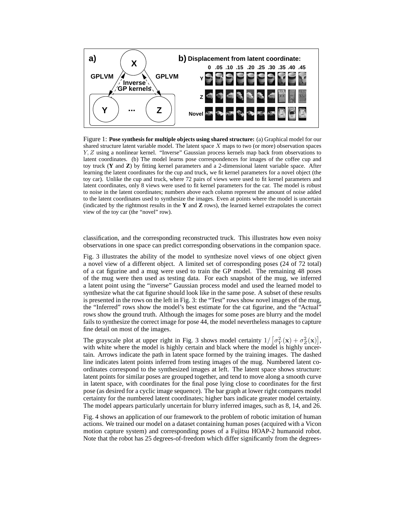

Figure 1: **Pose synthesis for multiple objects using shared structure:** (a) Graphical model for our shared structure latent variable model. The latent space  $X$  maps to two (or more) observation spaces Y, Z using a nonlinear kernel. "Inverse" Gaussian process kernels map back from observations to latent coordinates. (b) The model learns pose correspondences for images of the coffee cup and toy truck (**Y** and **Z**) by fitting kernel parameters and a 2-dimensional latent variable space. After learning the latent coordinates for the cup and truck, we fit kernel parameters for a novel object (the toy car). Unlike the cup and truck, where 72 pairs of views were used to fit kernel parameters and latent coordinates, only 8 views were used to fit kernel parameters for the car. The model is robust to noise in the latent coordinates; numbers above each column represent the amount of noise added to the latent coordinates used to synthesize the images. Even at points where the model is uncertain (indicated by the rightmost results in the **Y** and **Z** rows), the learned kernel extrapolates the correct view of the toy car (the "novel" row).

classification, and the corresponding reconstructed truck. This illustrates how even noisy observations in one space can predict corresponding observations in the companion space.

Fig. 3 illustrates the ability of the model to synthesize novel views of one object given a novel view of a different object. A limited set of corresponding poses (24 of 72 total) of a cat figurine and a mug were used to train the GP model. The remaining 48 poses of the mug were then used as testing data. For each snapshot of the mug, we inferred a latent point using the "inverse" Gaussian process model and used the learned model to synthesize what the cat figurine should look like in the same pose. A subset of these results is presented in the rows on the left in Fig. 3: the "Test" rows show novel images of the mug, the "Inferred" rows show the model's best estimate for the cat figurine, and the "Actual" rows show the ground truth. Although the images for some poses are blurry and the model fails to synthesize the correct image for pose 44, the model nevertheless manages to capture fine detail on most of the images.

The grayscale plot at upper right in Fig. 3 shows model certainty  $1/[\sigma_Y^2(\mathbf{x}) + \sigma_Z^2(\mathbf{x})]$ , with white where the model is highly certain and black where the model is highly uncertain. Arrows indicate the path in latent space formed by the training images. The dashed line indicates latent points inferred from testing images of the mug. Numbered latent coordinates correspond to the synthesized images at left. The latent space shows structure: latent points for similar poses are grouped together, and tend to move along a smooth curve in latent space, with coordinates for the final pose lying close to coordinates for the first pose (as desired for a cyclic image sequence). The bar graph at lower right compares model certainty for the numbered latent coordinates; higher bars indicate greater model certainty. The model appears particularly uncertain for blurry inferred images, such as 8, 14, and 26.

Fig. 4 shows an application of our framework to the problem of robotic imitation of human actions. We trained our model on a dataset containing human poses (acquired with a Vicon motion capture system) and corresponding poses of a Fujitsu HOAP-2 humanoid robot. Note that the robot has 25 degrees-of-freedom which differ significantly from the degrees-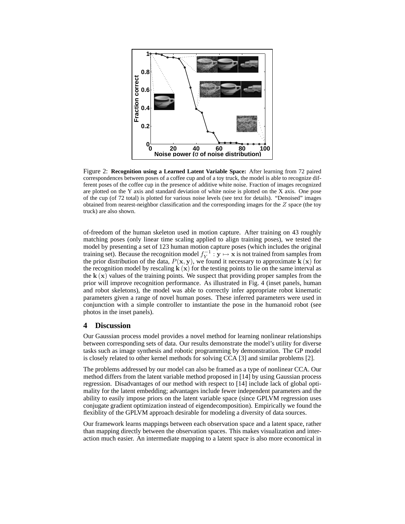

Figure 2: **Recognition using a Learned Latent Variable Space:** After learning from 72 paired correspondences between poses of a coffee cup and of a toy truck, the model is able to recognize different poses of the coffee cup in the presence of additive white noise. Fraction of images recognized are plotted on the Y axis and standard deviation of white noise is plotted on the X axis. One pose of the cup (of 72 total) is plotted for various noise levels (see text for details). "Denoised" images obtained from nearest-neighbor classification and the corresponding images for the  $Z$  space (the toy truck) are also shown.

of-freedom of the human skeleton used in motion capture. After training on 43 roughly matching poses (only linear time scaling applied to align training poses), we tested the model by presenting a set of 123 human motion capture poses (which includes the original training set). Because the recognition model  $f_Y^{-1}$  :  $\mathbf{y} \mapsto \mathbf{x}$  is not trained from samples from the prior distribution of the data,  $P(x, y)$ , we found it necessary to approximate  $k(x)$  for the recognition model by rescaling  $k(x)$  for the testing points to lie on the same interval as the  $k(x)$  values of the training points. We suspect that providing proper samples from the prior will improve recognition performance. As illustrated in Fig. 4 (inset panels, human and robot skeletons), the model was able to correctly infer appropriate robot kinematic parameters given a range of novel human poses. These inferred parameters were used in conjunction with a simple controller to instantiate the pose in the humanoid robot (see photos in the inset panels).

## **4 Discussion**

Our Gaussian process model provides a novel method for learning nonlinear relationships between corresponding sets of data. Our results demonstrate the model's utility for diverse tasks such as image synthesis and robotic programming by demonstration. The GP model is closely related to other kernel methods for solving CCA [3] and similar problems [2].

The problems addressed by our model can also be framed as a type of nonlinear CCA. Our method differs from the latent variable method proposed in [14] by using Gaussian process regression. Disadvantages of our method with respect to [14] include lack of global optimality for the latent embedding; advantages include fewer independent parameters and the ability to easily impose priors on the latent variable space (since GPLVM regression uses conjugate gradient optimization instead of eigendecomposition). Empirically we found the flexiblity of the GPLVM approach desirable for modeling a diversity of data sources.

Our framework learns mappings between each observation space and a latent space, rather than mapping directly between the observation spaces. This makes visualization and interaction much easier. An intermediate mapping to a latent space is also more economical in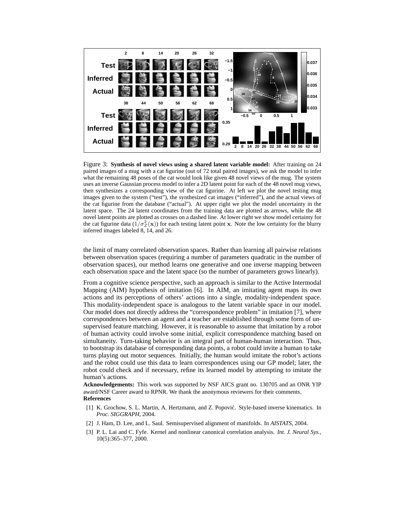

Figure 3: **Synthesis of novel views using a shared latent variable model:** After training on 24 paired images of a mug with a cat figurine (out of 72 total paired images), we ask the model to infer what the remaining 48 poses of the cat would look like given 48 novel views of the mug. The system uses an inverse Gaussian process model to infer a 2D latent point for each of the 48 novel mug views, then synthesizes a corresponding view of the cat figurine. At left we plot the novel testing mug images given to the system ("test"), the synthesized cat images ("inferred"), and the actual views of the cat figurine from the database ("actual"). At upper right we plot the model uncertainty in the latent space. The 24 latent coordinates from the training data are plotted as arrows, while the 48 novel latent points are plotted as crosses on a dashed line. At lower right we show model certainty for the cat figurine data  $(1/\sigma_Z^2(\mathbf{x}))$  for each testing latent point x. Note the low certainty for the blurry inferred images labeled 8, 14, and 26.

the limit of many correlated observation spaces. Rather than learning all pairwise relations between observation spaces (requiring a number of parameters quadratic in the number of observation spaces), our method learns one generative and one inverse mapping between each observation space and the latent space (so the number of parameters grows linearly).

From a cognitive science perspective, such an approach is similar to the Active Intermodal Mapping (AIM) hypothesis of imitation [6]. In AIM, an imitating agent maps its own actions and its perceptions of others' actions into a single, modality-independent space. This modality-independent space is analogous to the latent variable space in our model. Our model does not directly address the "correspondence problem" in imitation [7], where correspondences between an agent and a teacher are established through some form of unsupervised feature matching. However, it is reasonable to assume that imitation by a robot of human activity could involve some initial, explicit correspondence matching based on simultaneity. Turn-taking behavior is an integral part of human-human interaction. Thus, to bootstrap its database of corresponding data points, a robot could invite a human to take turns playing out motor sequences. Initially, the human would imitate the robot's actions and the robot could use this data to learn correspondences using our GP model; later, the robot could check and if necessary, refine its learned model by attempting to imitate the human's actions.

**Acknowledgements:** This work was supported by NSF AICS grant no. 130705 and an ONR YIP award/NSF Career award to RPNR. We thank the anonymous reviewers for their comments. **References**

- [1] K. Grochow, S. L. Martin, A. Hertzmann, and Z. Popovic. Style-based inverse kinematics. In ´ *Proc. SIGGRAPH*, 2004.
- [2] J. Ham, D. Lee, and L. Saul. Semisupervised alignment of manifolds. In *AISTATS*, 2004.
- [3] P. L. Lai and C. Fyfe. Kernel and nonlinear canonical correlation analysis. *Int. J. Neural Sys.*, 10(5):365–377, 2000.